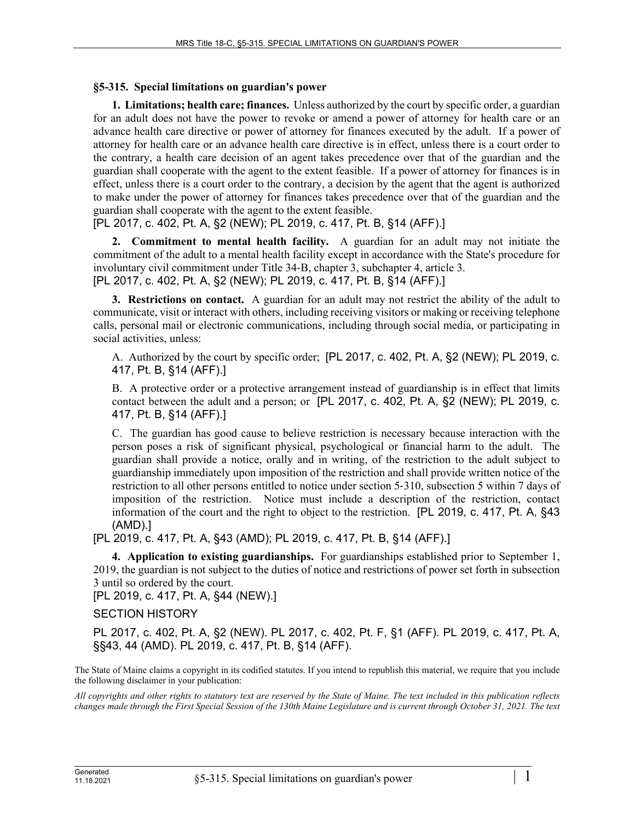## **§5-315. Special limitations on guardian's power**

**1. Limitations; health care; finances.** Unless authorized by the court by specific order, a guardian for an adult does not have the power to revoke or amend a power of attorney for health care or an advance health care directive or power of attorney for finances executed by the adult. If a power of attorney for health care or an advance health care directive is in effect, unless there is a court order to the contrary, a health care decision of an agent takes precedence over that of the guardian and the guardian shall cooperate with the agent to the extent feasible. If a power of attorney for finances is in effect, unless there is a court order to the contrary, a decision by the agent that the agent is authorized to make under the power of attorney for finances takes precedence over that of the guardian and the guardian shall cooperate with the agent to the extent feasible.

[PL 2017, c. 402, Pt. A, §2 (NEW); PL 2019, c. 417, Pt. B, §14 (AFF).]

**2. Commitment to mental health facility.** A guardian for an adult may not initiate the commitment of the adult to a mental health facility except in accordance with the State's procedure for involuntary civil commitment under Title 34‑B, chapter 3, subchapter 4, article 3. [PL 2017, c. 402, Pt. A, §2 (NEW); PL 2019, c. 417, Pt. B, §14 (AFF).]

**3. Restrictions on contact.** A guardian for an adult may not restrict the ability of the adult to communicate, visit or interact with others, including receiving visitors or making or receiving telephone calls, personal mail or electronic communications, including through social media, or participating in social activities, unless:

A. Authorized by the court by specific order; [PL 2017, c. 402, Pt. A, §2 (NEW); PL 2019, c. 417, Pt. B, §14 (AFF).]

B. A protective order or a protective arrangement instead of guardianship is in effect that limits contact between the adult and a person; or [PL 2017, c. 402, Pt. A, §2 (NEW); PL 2019, c. 417, Pt. B, §14 (AFF).]

C. The guardian has good cause to believe restriction is necessary because interaction with the person poses a risk of significant physical, psychological or financial harm to the adult. The guardian shall provide a notice, orally and in writing, of the restriction to the adult subject to guardianship immediately upon imposition of the restriction and shall provide written notice of the restriction to all other persons entitled to notice under section 5‑310, subsection 5 within 7 days of imposition of the restriction. Notice must include a description of the restriction, contact information of the court and the right to object to the restriction. [PL 2019, c. 417, Pt. A, §43 (AMD).]

[PL 2019, c. 417, Pt. A, §43 (AMD); PL 2019, c. 417, Pt. B, §14 (AFF).]

**4. Application to existing guardianships.** For guardianships established prior to September 1, 2019, the guardian is not subject to the duties of notice and restrictions of power set forth in subsection 3 until so ordered by the court.

[PL 2019, c. 417, Pt. A, §44 (NEW).]

SECTION HISTORY

PL 2017, c. 402, Pt. A, §2 (NEW). PL 2017, c. 402, Pt. F, §1 (AFF). PL 2019, c. 417, Pt. A, §§43, 44 (AMD). PL 2019, c. 417, Pt. B, §14 (AFF).

The State of Maine claims a copyright in its codified statutes. If you intend to republish this material, we require that you include the following disclaimer in your publication:

*All copyrights and other rights to statutory text are reserved by the State of Maine. The text included in this publication reflects changes made through the First Special Session of the 130th Maine Legislature and is current through October 31, 2021. The text*